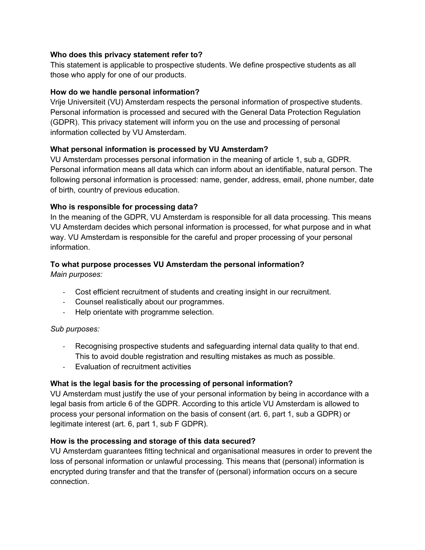## **Who does this privacy statement refer to?**

This statement is applicable to prospective students. We define prospective students as all those who apply for one of our products.

## **How do we handle personal information?**

Vrije Universiteit (VU) Amsterdam respects the personal information of prospective students. Personal information is processed and secured with the General Data Protection Regulation (GDPR). This privacy statement will inform you on the use and processing of personal information collected by VU Amsterdam.

## **What personal information is processed by VU Amsterdam?**

VU Amsterdam processes personal information in the meaning of article 1, sub a, GDPR. Personal information means all data which can inform about an identifiable, natural person. The following personal information is processed: name, gender, address, email, phone number, date of birth, country of previous education.

## **Who is responsible for processing data?**

In the meaning of the GDPR, VU Amsterdam is responsible for all data processing. This means VU Amsterdam decides which personal information is processed, for what purpose and in what way. VU Amsterdam is responsible for the careful and proper processing of your personal information.

# **To what purpose processes VU Amsterdam the personal information?**

*Main purposes:*

- Cost efficient recruitment of students and creating insight in our recruitment.
- Counsel realistically about our programmes.
- Help orientate with programme selection.

## *Sub purposes:*

- Recognising prospective students and safeguarding internal data quality to that end. This to avoid double registration and resulting mistakes as much as possible.
- Evaluation of recruitment activities

## **What is the legal basis for the processing of personal information?**

VU Amsterdam must justify the use of your personal information by being in accordance with a legal basis from article 6 of the GDPR. According to this article VU Amsterdam is allowed to process your personal information on the basis of consent (art. 6, part 1, sub a GDPR) or legitimate interest (art. 6, part 1, sub F GDPR).

## **How is the processing and storage of this data secured?**

VU Amsterdam guarantees fitting technical and organisational measures in order to prevent the loss of personal information or unlawful processing. This means that (personal) information is encrypted during transfer and that the transfer of (personal) information occurs on a secure connection.